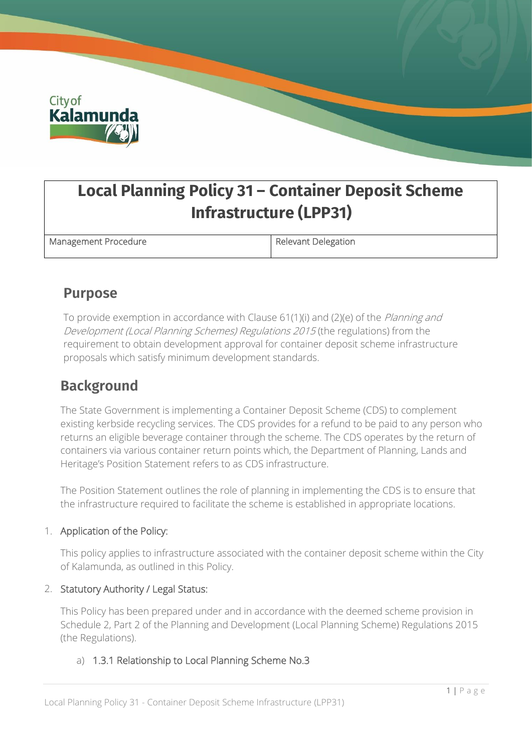

# **Local Planning Policy 31 – Container Deposit Scheme Infrastructure (LPP31)**

Management Procedure **Relevant Delegation** 

### **Purpose**

To provide exemption in accordance with Clause 61(1)(i) and (2)(e) of the Planning and Development (Local Planning Schemes) Regulations 2015 (the regulations) from the requirement to obtain development approval for container deposit scheme infrastructure proposals which satisfy minimum development standards.

### **Background**

The State Government is implementing a Container Deposit Scheme (CDS) to complement existing kerbside recycling services. The CDS provides for a refund to be paid to any person who returns an eligible beverage container through the scheme. The CDS operates by the return of containers via various container return points which, the Department of Planning, Lands and Heritage's Position Statement refers to as CDS infrastructure.

The Position Statement outlines the role of planning in implementing the CDS is to ensure that the infrastructure required to facilitate the scheme is established in appropriate locations.

#### 1. Application of the Policy:

This policy applies to infrastructure associated with the container deposit scheme within the City of Kalamunda, as outlined in this Policy.

#### 2. Statutory Authority / Legal Status:

This Policy has been prepared under and in accordance with the deemed scheme provision in Schedule 2, Part 2 of the Planning and Development (Local Planning Scheme) Regulations 2015 (the Regulations).

#### a) 1.3.1 Relationship to Local Planning Scheme No.3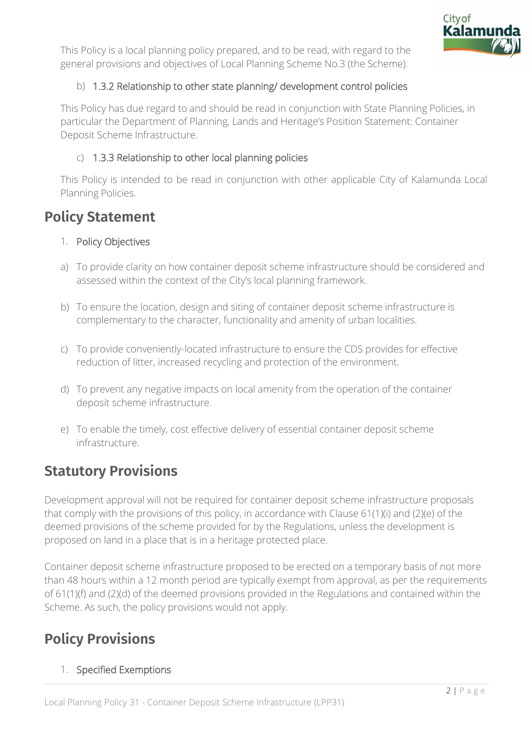

This Policy is a local planning policy prepared, and to be read, with regard to the general provisions and objectives of Local Planning Scheme No.3 (the Scheme).

#### b) 1.3.2 Relationship to other state planning/ development control policies

This Policy has due regard to and should be read in conjunction with State Planning Policies, in particular the Department of Planning, Lands and Heritage's Position Statement: Container Deposit Scheme Infrastructure.

#### c) 1.3.3 Relationship to other local planning policies

This Policy is intended to be read in conjunction with other applicable City of Kalamunda Local Planning Policies.

### **Policy Statement**

#### 1. Policy Objectives

- a) To provide clarity on how container deposit scheme infrastructure should be considered and assessed within the context of the City's local planning framework.
- b) To ensure the location, design and siting of container deposit scheme infrastructure is complementary to the character, functionality and amenity of urban localities.
- c) To provide conveniently-located infrastructure to ensure the CDS provides for effective reduction of litter, increased recycling and protection of the environment.
- d) To prevent any negative impacts on local amenity from the operation of the container deposit scheme infrastructure.
- e) To enable the timely, cost effective delivery of essential container deposit scheme infrastructure.

### **Statutory Provisions**

Development approval will not be required for container deposit scheme infrastructure proposals that comply with the provisions of this policy, in accordance with Clause 61(1)(i) and (2)(e) of the deemed provisions of the scheme provided for by the Regulations, unless the development is proposed on land in a place that is in a heritage protected place.

Container deposit scheme infrastructure proposed to be erected on a temporary basis of not more than 48 hours within a 12 month period are typically exempt from approval, as per the requirements of 61(1)(f) and (2)(d) of the deemed provisions provided in the Regulations and contained within the Scheme. As such, the policy provisions would not apply.

### **Policy Provisions**

#### 1. Specified Exemptions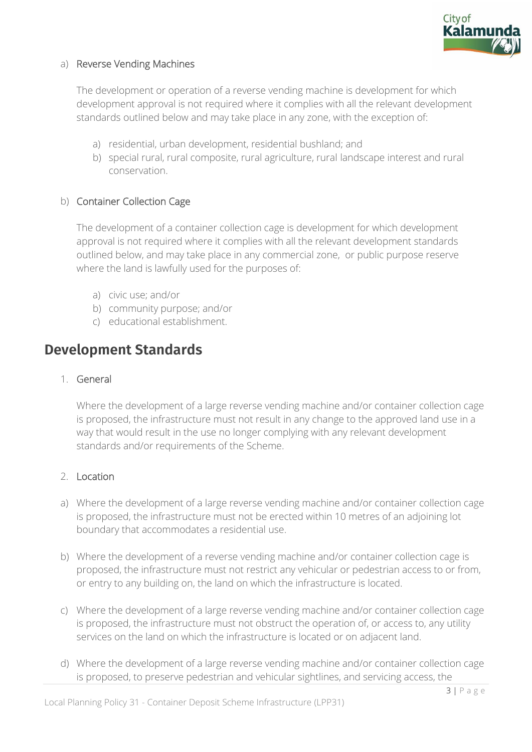

#### a) Reverse Vending Machines

The development or operation of a reverse vending machine is development for which development approval is not required where it complies with all the relevant development standards outlined below and may take place in any zone, with the exception of:

- a) residential, urban development, residential bushland; and
- b) special rural, rural composite, rural agriculture, rural landscape interest and rural conservation.

#### b) Container Collection Cage

The development of a container collection cage is development for which development approval is not required where it complies with all the relevant development standards outlined below, and may take place in any commercial zone, or public purpose reserve where the land is lawfully used for the purposes of:

- a) civic use; and/or
- b) community purpose; and/or
- c) educational establishment.

### **Development Standards**

#### 1. General

Where the development of a large reverse vending machine and/or container collection cage is proposed, the infrastructure must not result in any change to the approved land use in a way that would result in the use no longer complying with any relevant development standards and/or requirements of the Scheme.

#### 2. Location

- a) Where the development of a large reverse vending machine and/or container collection cage is proposed, the infrastructure must not be erected within 10 metres of an adjoining lot boundary that accommodates a residential use.
- b) Where the development of a reverse vending machine and/or container collection cage is proposed, the infrastructure must not restrict any vehicular or pedestrian access to or from, or entry to any building on, the land on which the infrastructure is located.
- c) Where the development of a large reverse vending machine and/or container collection cage is proposed, the infrastructure must not obstruct the operation of, or access to, any utility services on the land on which the infrastructure is located or on adjacent land.
- d) Where the development of a large reverse vending machine and/or container collection cage is proposed, to preserve pedestrian and vehicular sightlines, and servicing access, the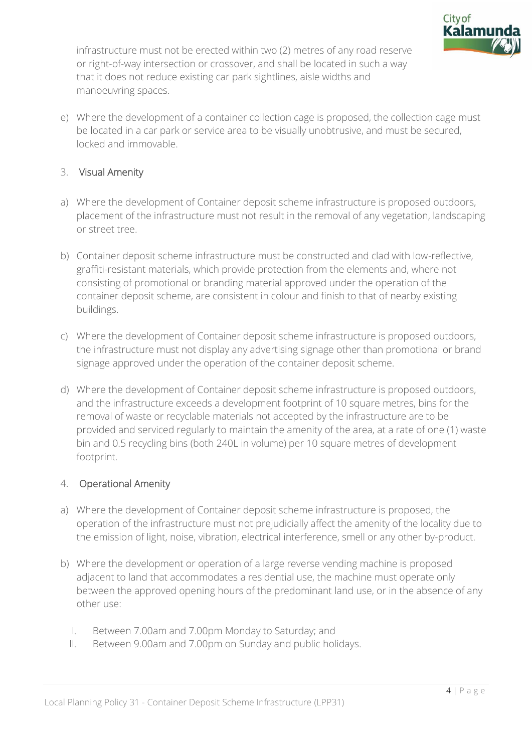

infrastructure must not be erected within two (2) metres of any road reserve or right-of-way intersection or crossover, and shall be located in such a way that it does not reduce existing car park sightlines, aisle widths and manoeuvring spaces.

e) Where the development of a container collection cage is proposed, the collection cage must be located in a car park or service area to be visually unobtrusive, and must be secured, locked and immovable.

#### 3. Visual Amenity

- a) Where the development of Container deposit scheme infrastructure is proposed outdoors, placement of the infrastructure must not result in the removal of any vegetation, landscaping or street tree.
- b) Container deposit scheme infrastructure must be constructed and clad with low-reflective, graffiti-resistant materials, which provide protection from the elements and, where not consisting of promotional or branding material approved under the operation of the container deposit scheme, are consistent in colour and finish to that of nearby existing buildings.
- c) Where the development of Container deposit scheme infrastructure is proposed outdoors, the infrastructure must not display any advertising signage other than promotional or brand signage approved under the operation of the container deposit scheme.
- d) Where the development of Container deposit scheme infrastructure is proposed outdoors, and the infrastructure exceeds a development footprint of 10 square metres, bins for the removal of waste or recyclable materials not accepted by the infrastructure are to be provided and serviced regularly to maintain the amenity of the area, at a rate of one (1) waste bin and 0.5 recycling bins (both 240L in volume) per 10 square metres of development footprint.

#### 4. Operational Amenity

- a) Where the development of Container deposit scheme infrastructure is proposed, the operation of the infrastructure must not prejudicially affect the amenity of the locality due to the emission of light, noise, vibration, electrical interference, smell or any other by-product.
- b) Where the development or operation of a large reverse vending machine is proposed adjacent to land that accommodates a residential use, the machine must operate only between the approved opening hours of the predominant land use, or in the absence of any other use:
	- I. Between 7.00am and 7.00pm Monday to Saturday; and
	- II. Between 9.00am and 7.00pm on Sunday and public holidays.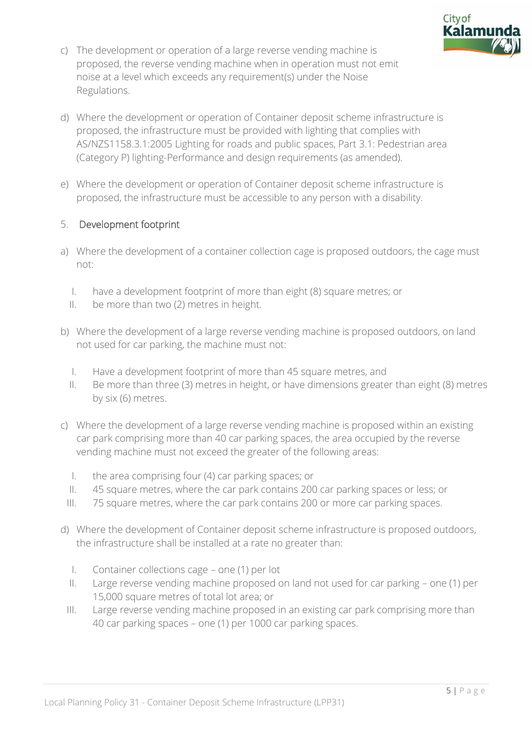

- c) The development or operation of a large reverse vending machine is proposed, the reverse vending machine when in operation must not emit noise at a level which exceeds any requirement(s) under the Noise Regulations.
- d) Where the development or operation of Container deposit scheme infrastructure is proposed, the infrastructure must be provided with lighting that complies with AS/NZS1158.3.1:2005 Lighting for roads and public spaces, Part 3.1: Pedestrian area (Category P) lighting-Performance and design requirements (as amended).
- e) Where the development or operation of Container deposit scheme infrastructure is proposed, the infrastructure must be accessible to any person with a disability.

#### 5. Development footprint

- a) Where the development of a container collection cage is proposed outdoors, the cage must not:
	- I. have a development footprint of more than eight (8) square metres; or
	- II. be more than two (2) metres in height.
- b) Where the development of a large reverse vending machine is proposed outdoors, on land not used for car parking, the machine must not:
	- I. Have a development footprint of more than 45 square metres, and
	- II. Be more than three (3) metres in height, or have dimensions greater than eight (8) metres by six (6) metres.
- c) Where the development of a large reverse vending machine is proposed within an existing car park comprising more than 40 car parking spaces, the area occupied by the reverse vending machine must not exceed the greater of the following areas:
	- I. the area comprising four (4) car parking spaces; or
	- II. 45 square metres, where the car park contains 200 car parking spaces or less; or
	- III. 75 square metres, where the car park contains 200 or more car parking spaces.
- d) Where the development of Container deposit scheme infrastructure is proposed outdoors, the infrastructure shall be installed at a rate no greater than:
	- I. Container collections cage one (1) per lot
	- II. Large reverse vending machine proposed on land not used for car parking one (1) per 15,000 square metres of total lot area; or
	- III. Large reverse vending machine proposed in an existing car park comprising more than 40 car parking spaces – one (1) per 1000 car parking spaces.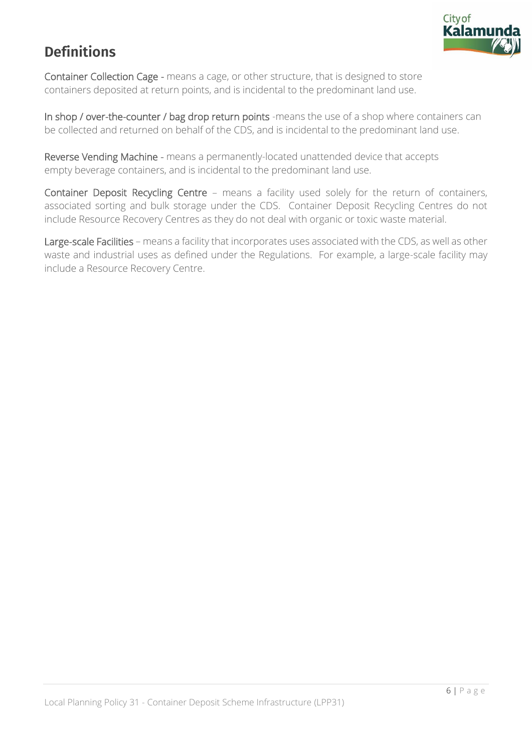

## **Definitions**

Container Collection Cage - means a cage, or other structure, that is designed to store containers deposited at return points, and is incidental to the predominant land use.

In shop / over-the-counter / bag drop return points -means the use of a shop where containers can be collected and returned on behalf of the CDS, and is incidental to the predominant land use.

Reverse Vending Machine - means a permanently-located unattended device that accepts empty beverage containers, and is incidental to the predominant land use.

Container Deposit Recycling Centre – means a facility used solely for the return of containers, associated sorting and bulk storage under the CDS. Container Deposit Recycling Centres do not include Resource Recovery Centres as they do not deal with organic or toxic waste material.

Large-scale Facilities – means a facility that incorporates uses associated with the CDS, as well as other waste and industrial uses as defined under the Regulations. For example, a large-scale facility may include a Resource Recovery Centre.